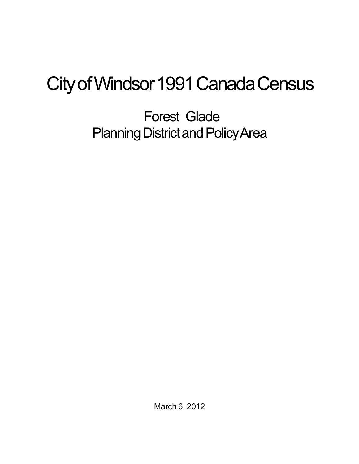## City of Windsor 1991 Canada Census

Forest Glade Planning District and Policy Area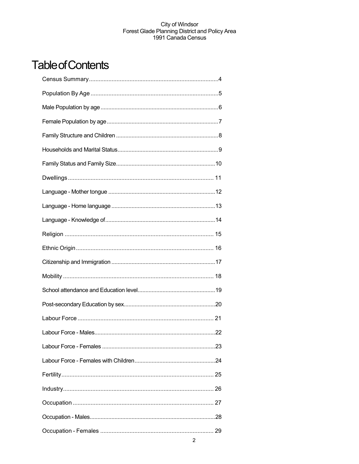## **Table of Contents**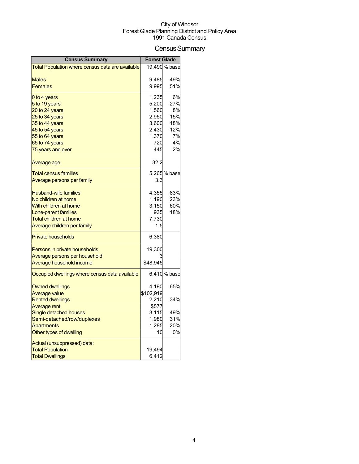## Census Summary

| <b>Census Summary</b>                            | <b>Forest Glade</b> |               |
|--------------------------------------------------|---------------------|---------------|
| Total Population where census data are available |                     | 19,490 % base |
|                                                  |                     |               |
| <b>Males</b><br><b>Females</b>                   | 9,485<br>9,995      | 49%<br>51%    |
|                                                  |                     |               |
| 0 to 4 years                                     | 1,235               | 6%            |
| 5 to 19 years                                    | 5,200               | 27%           |
| 20 to 24 years                                   | 1,560               | 8%            |
| 25 to 34 years                                   | 2,950               | 15%           |
| 35 to 44 years                                   | 3,600               | 18%           |
| 45 to 54 years<br>55 to 64 years                 | 2,430<br>1,370      | 12%<br>7%     |
| 65 to 74 years                                   | 720                 | 4%            |
| 75 years and over                                | 445                 | 2%            |
|                                                  |                     |               |
| Average age                                      | 32.2                |               |
| <b>Total census families</b>                     |                     | 5,265 % base  |
| Average persons per family                       | 3.3                 |               |
| <b>Husband-wife families</b>                     | 4,355               | 83%           |
| No children at home                              | 1,190               | 23%           |
| With children at home                            | 3,150               | 60%           |
| Lone-parent families                             | 935                 | 18%           |
| Total children at home                           | 7,730               |               |
| Average children per family                      | 1.5                 |               |
| <b>Private households</b>                        | 6,380               |               |
| Persons in private households                    | 19,300              |               |
| Average persons per household                    |                     |               |
| Average household income                         | \$48,945            |               |
| Occupied dwellings where census data available   |                     | 6,410 % base  |
| <b>Owned dwellings</b>                           | 4,190               | 65%           |
| <b>Average value</b>                             | \$102,919           |               |
| <b>Rented dwellings</b>                          | 2,210               | 34%           |
| Average rent                                     | \$577               |               |
| Single detached houses                           | 3,115               | 49%           |
| Semi-detached/row/duplexes                       | 1,980               | 31%           |
| <b>Apartments</b>                                | 1,285               | 20%           |
| Other types of dwelling                          | 10                  | 0%            |
| Actual (unsuppressed) data:                      |                     |               |
| <b>Total Population</b>                          | 19,494              |               |
| <b>Total Dwellings</b>                           | 6,412               |               |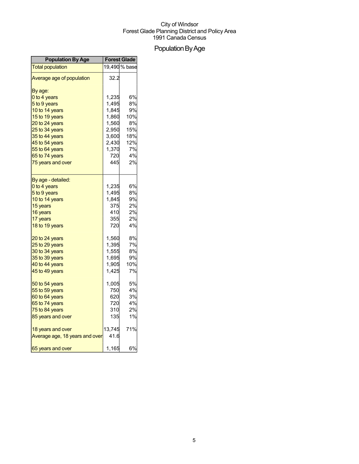## Population By Age

| <b>Population By Age</b>       |        | <b>Forest Glade</b> |
|--------------------------------|--------|---------------------|
| <b>Total population</b>        |        | 19,490 % base       |
| Average age of population      | 32.2   |                     |
| By age:                        |        |                     |
| 0 to 4 years                   | 1,235  | 6%                  |
| 5 to 9 years                   | 1,495  | 8%                  |
| 10 to 14 years                 | 1,845  | 9%                  |
| 15 to 19 years                 | 1,860  | 10%                 |
| 20 to 24 years                 | 1,560  | 8%                  |
| 25 to 34 years                 | 2,950  | 15%                 |
| 35 to 44 years                 | 3,600  | 18%                 |
| 45 to 54 years                 | 2,430  | 12%                 |
| 55 to 64 years                 | 1,370  | 7%                  |
| 65 to 74 years                 | 720    | 4%                  |
| 75 years and over              | 445    | 2%                  |
| By age - detailed:             |        |                     |
| 0 to 4 years                   | 1,235  | 6%                  |
| 5 to 9 years                   | 1,495  | 8%                  |
| 10 to 14 years                 | 1,845  | 9%                  |
| 15 years                       | 375    | 2%                  |
| 16 years                       | 410    | 2%                  |
| 17 years                       | 355    | 2%                  |
| 18 to 19 years                 | 720    | 4%                  |
| 20 to 24 years                 | 1,560  | 8%                  |
| 25 to 29 years                 | 1,395  | 7%                  |
| 30 to 34 years                 | 1,555  | 8%                  |
| 35 to 39 years                 | 1,695  | 9%                  |
| 40 to 44 years                 | 1,905  | 10%                 |
| 45 to 49 years                 | 1,425  | 7%                  |
| 50 to 54 years                 | 1,005  | 5%                  |
| 55 to 59 years                 | 750    | 4%                  |
| 60 to 64 years                 | 620    | 3%                  |
| 65 to 74 years                 | 720    | 4%                  |
| 75 to 84 years                 | 310    | 2%                  |
| 85 years and over              | 135    | 1%                  |
| 18 years and over              | 13,745 | 71%                 |
| Average age, 18 years and over | 41.6   |                     |
| 65 years and over              | 1,165  | 6%                  |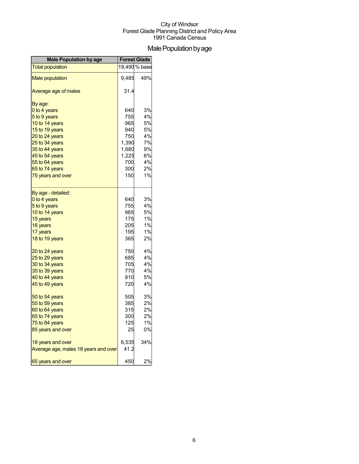## Male Population by age

| <b>Male Population by age</b>        | <b>Forest Glade</b> |               |
|--------------------------------------|---------------------|---------------|
| <b>Total population</b>              |                     | 19,490 % base |
| <b>Male population</b>               | 9,485               | 49%           |
| Average age of males                 | 31.4                |               |
| By age:                              |                     |               |
| 0 to 4 years                         | 640                 | 3%            |
| 5 to 9 years                         | 755                 | 4%            |
| 10 to 14 years                       | 965                 | 5%            |
| 15 to 19 years                       | 940                 | 5%            |
| 20 to 24 years                       | 750                 | 4%            |
| 25 to 34 years                       | 1,390               | 7%            |
| 35 to 44 years                       | 1,680               | 9%            |
| 45 to 54 years                       | 1,225               | 6%            |
| 55 to 64 years                       | 700                 | 4%            |
| 65 to 74 years                       | 300                 | 2%            |
| 75 years and over                    | 150                 | 1%            |
| By age - detailed:                   |                     |               |
| 0 to 4 years                         | 640                 | 3%            |
| 5 to 9 years                         | 755                 | 4%            |
| 10 to 14 years                       | 965                 | 5%            |
| 15 years                             | 175                 | 1%            |
| 16 years                             | 205                 | 1%            |
| 17 years                             | 195                 | 1%            |
| 18 to 19 years                       | 365                 | 2%            |
| 20 to 24 years                       | 750                 | 4%            |
| 25 to 29 years                       | 685                 | 4%            |
| 30 to 34 years                       | 705                 | 4%            |
| 35 to 39 years                       | 770                 | 4%            |
| 40 to 44 years                       | 910                 | 5%            |
| 45 to 49 years                       | 720                 | 4%            |
| 50 to 54 years                       | 505                 | 3%            |
| 55 to 59 years                       | 385                 | 2%            |
| 60 to 64 years                       | 315                 | 2%            |
| 65 to 74 years                       | 300                 | 2%            |
| 75 to 84 years                       | 125                 | 1%            |
| 85 years and over                    | 25                  | 0%            |
| 18 years and over                    | 6,535               | 34%           |
| Average age, males 18 years and over | 41.2                |               |
| 65 years and over                    | 450                 | 2%            |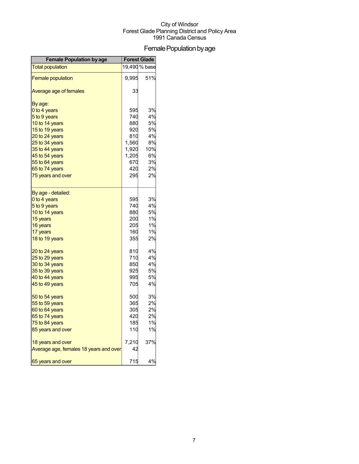## Female Population by age

| <b>Female Population by age</b>        |       | <b>Forest Glade</b> |
|----------------------------------------|-------|---------------------|
| <b>Total population</b>                |       | 19,490 % base       |
| <b>Female population</b>               | 9,995 | 51%                 |
| Average age of females                 | 33    |                     |
| By age:                                |       |                     |
| 0 to 4 years                           | 595   | 3%                  |
| 5 to 9 years                           | 740   | 4%                  |
| 10 to 14 years                         | 880   | 5%                  |
| 15 to 19 years                         | 920   | 5%                  |
| 20 to 24 years                         | 810   | 4%                  |
| 25 to 34 years                         | 1,560 | 8%                  |
| 35 to 44 years                         | 1,920 | 10%                 |
| 45 to 54 years                         | 1,205 | 6%                  |
| 55 to 64 years                         | 670   | 3%                  |
| 65 to 74 years                         | 420   | 2%                  |
| 75 years and over                      | 295   | 2%                  |
| By age - detailed:                     |       |                     |
| 0 to 4 years                           | 595   | 3%                  |
| 5 to 9 years                           | 740   | 4%                  |
| 10 to 14 years                         | 880   | 5%                  |
| 15 years                               | 200   | 1%                  |
| 16 years                               | 205   | 1%                  |
| 17 years                               | 160   | 1%                  |
| 18 to 19 years                         | 355   | 2%                  |
| 20 to 24 years                         | 810   | 4%                  |
| 25 to 29 years                         | 710   | 4%                  |
| 30 to 34 years                         | 850   | 4%                  |
| 35 to 39 years                         | 925   | 5%                  |
| 40 to 44 years                         | 995   | 5%                  |
| 45 to 49 years                         | 705   | 4%                  |
| 50 to 54 years                         | 500   | 3%                  |
| 55 to 59 years                         | 365   | 2%                  |
| 60 to 64 years                         | 305   | 2%                  |
| 65 to 74 years                         | 420   | 2%                  |
| 75 to 84 years                         | 185   | 1%                  |
| 85 years and over                      | 110   | 1%                  |
| 18 years and over                      | 7,210 | 37%                 |
| Average age, females 18 years and over | 42    |                     |
| 65 years and over                      | 715   | 4%                  |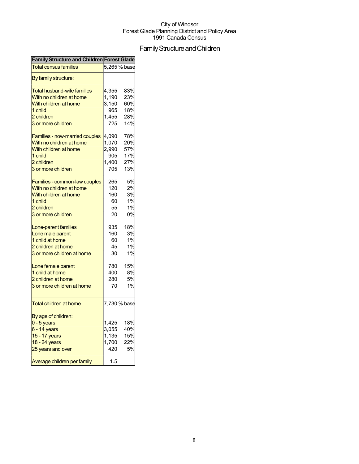## Family Structure and Children

| <b>Family Structure and Children Forest Glade</b> |       |              |
|---------------------------------------------------|-------|--------------|
| <b>Total census families</b>                      |       | 5,265 % base |
| By family structure:                              |       |              |
| <b>Total husband-wife families</b>                | 4,355 | 83%          |
| With no children at home                          | 1,190 | 23%          |
| With children at home                             | 3,150 | 60%          |
| 1 child                                           | 965   | 18%          |
| 2 children                                        | 1,455 | 28%          |
| 3 or more children                                | 725   | 14%          |
| Families - now-married couples                    | 4,090 | 78%          |
| With no children at home                          | 1,070 | 20%          |
| With children at home                             | 2,990 | 57%          |
| 1 child                                           | 905   | 17%          |
| 2 children                                        | 1,400 | 27%          |
| 3 or more children                                | 705   | 13%          |
| Families - common-law couples                     | 265   | 5%           |
| With no children at home                          | 120   | 2%           |
| With children at home                             | 160   | 3%           |
| 1 child                                           | 60    | 1%           |
| 2 children                                        | 55    | 1%           |
| 3 or more children                                | 20    | 0%           |
| Lone-parent families                              | 935   | 18%          |
| Lone male parent                                  | 160   | 3%           |
| 1 child at home                                   | 60    | 1%           |
| 2 children at home                                | 45    | 1%           |
| 3 or more children at home                        | 30    | 1%           |
| Lone female parent                                | 780   | 15%          |
| 1 child at home                                   | 400   | 8%           |
| 2 children at home                                | 280   | <b>5%</b>    |
| 3 or more children at home                        | 70    | 1%           |
| <b>Total children at home</b>                     |       | 7,730 % base |
| By age of children:                               |       |              |
| $0 - 5$ years                                     | 1,425 | 18%          |
| $6 - 14$ years                                    | 3,055 | 40%          |
| 15 - 17 years                                     | 1,135 | 15%          |
|                                                   | 1,700 | 22%          |
| 18 - 24 years                                     |       | 5%           |
| 25 years and over                                 | 420   |              |
| Average children per family                       | 1.5   |              |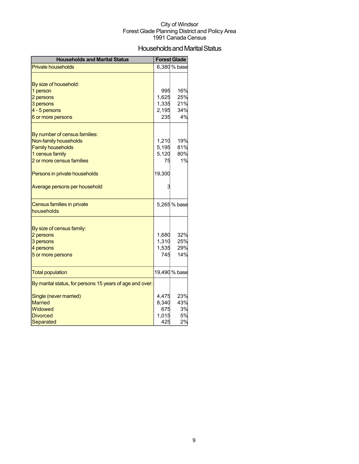## Households and Marital Status

| <b>Households and Marital Status</b>                     |        | <b>Forest Glade</b> |
|----------------------------------------------------------|--------|---------------------|
| <b>Private households</b>                                |        | 6,380 % base        |
|                                                          |        |                     |
| By size of household:                                    |        |                     |
| 1 person                                                 | 995    | 16%                 |
| 2 persons                                                | 1,625  | 25%                 |
| 3 persons                                                | 1,335  | 21%                 |
| 4 - 5 persons                                            | 2,195  | 34%                 |
| 6 or more persons                                        | 235    | 4%                  |
|                                                          |        |                     |
| By number of census families:                            |        |                     |
| Non-family households                                    | 1,210  | 19%                 |
| <b>Family households</b>                                 | 5,195  | 81%                 |
| 1 census family                                          | 5,120  | 80%                 |
| 2 or more census families                                | 75     | 1%                  |
| Persons in private households                            | 19,300 |                     |
| Average persons per household                            |        |                     |
| Census families in private<br>households                 |        | 5,265 % base        |
|                                                          |        |                     |
| By size of census family:                                |        |                     |
| 2 persons                                                | 1,680  | 32%                 |
| 3 persons                                                | 1,310  | 25%                 |
| 4 persons                                                | 1,535  | 29%                 |
| 5 or more persons                                        | 745    | 14%                 |
|                                                          |        |                     |
| <b>Total population</b>                                  |        | 19,490 % base       |
| By marital status, for persons 15 years of age and over: |        |                     |
| Single (never married)                                   | 4,475  | 23%                 |
| <b>Married</b>                                           | 8,340  | 43%                 |
| Widowed                                                  | 675    | 3%                  |
| <b>Divorced</b>                                          | 1,015  | 5%                  |
| Separated                                                | 425    | 2%                  |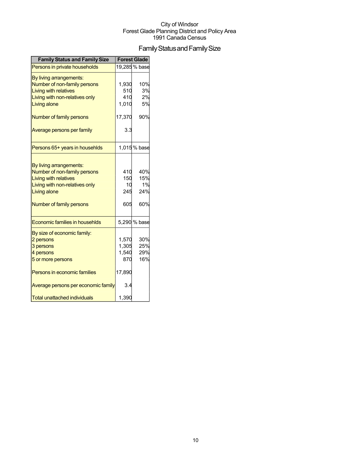## Family Status and Family Size

| <b>Family Status and Family Size</b>                                                                                                                                  |                                          | <b>Forest Glade</b>            |
|-----------------------------------------------------------------------------------------------------------------------------------------------------------------------|------------------------------------------|--------------------------------|
| Persons in private households                                                                                                                                         |                                          | 19,285 % base                  |
| By living arrangements:<br>Number of non-family persons<br><b>Living with relatives</b><br>Living with non-relatives only<br><b>Living alone</b>                      | 1,930<br>510<br>410<br>1,010             | 10%<br>3%<br>2%<br>5%          |
| Number of family persons                                                                                                                                              | 17,370                                   | 90%                            |
| Average persons per family                                                                                                                                            | 3.3                                      |                                |
| Persons 65+ years in househlds                                                                                                                                        |                                          | 1,015% base                    |
| By living arrangements:<br>Number of non-family persons<br><b>Living with relatives</b><br>Living with non-relatives only<br>Living alone<br>Number of family persons | 410<br>150<br>10<br>245<br>605           | 40%<br>15%<br>1%<br>24%<br>60% |
| Economic families in househlds                                                                                                                                        |                                          | 5,290 % base                   |
| By size of economic family:<br>2 persons<br>3 persons<br>4 persons<br>5 or more persons<br>Persons in economic families                                               | 1,570<br>1,305<br>1,540<br>870<br>17,890 | 30%<br>25%<br>29%<br>16%       |
| Average persons per economic family                                                                                                                                   | 3.4                                      |                                |
| <b>Total unattached individuals</b>                                                                                                                                   | 1,390                                    |                                |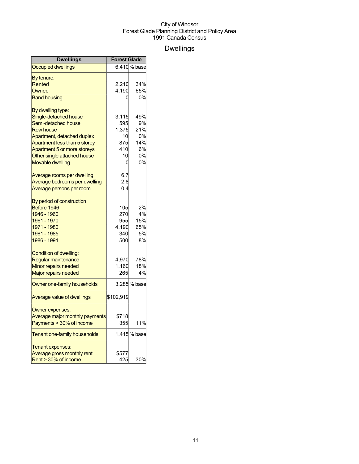## Dwellings

| <b>Dwellings</b>               | <b>Forest Glade</b> |              |
|--------------------------------|---------------------|--------------|
| <b>Occupied dwellings</b>      |                     | 6,410 % base |
| By tenure:                     |                     |              |
| Rented                         | 2,210               | 34%          |
| Owned                          | 4,190               | 65%          |
| <b>Band housing</b>            |                     | 0%           |
| By dwelling type:              |                     |              |
| Single-detached house          | 3,115               | 49%          |
| Semi-detached house            | 595                 | 9%           |
| <b>Row house</b>               | 1,375               | 21%          |
| Apartment, detached duplex     | 10                  | 0%           |
| Apartment less than 5 storey   | 875                 | 14%          |
| Apartment 5 or more storeys    | 410                 | 6%           |
| Other single attached house    | 10                  | 0%           |
| <b>Movable dwelling</b>        | 0                   | 0%           |
| Average rooms per dwelling     | 6.7                 |              |
| Average bedrooms per dwelling  | 2.8                 |              |
| Average persons per room       | 0.4                 |              |
| By period of construction      |                     |              |
| Before 1946                    | 105                 | 2%           |
| 1946 - 1960                    | 270                 | 4%           |
| 1961 - 1970                    | 955                 | 15%          |
| 1971 - 1980                    | 4,190               | 65%          |
| 1981 - 1985                    | 340                 | 5%           |
| 1986 - 1991                    | 500                 | 8%           |
| <b>Condition of dwelling:</b>  |                     |              |
| Regular maintenance            | 4,970               | 78%          |
| Minor repairs needed           | 1,160               | 18%          |
| Major repairs needed           | 265                 | 4%           |
| Owner one-family households    |                     | 3,285% base  |
| Average value of dwellings     | \$102,919           |              |
| Owner expenses:                |                     |              |
| Average major monthly payments | \$718               |              |
| Payments > 30% of income       | 355                 | 11%          |
| Tenant one-family households   |                     | 1,415% base  |
| Tenant expenses:               |                     |              |
| Average gross monthly rent     | \$577               |              |
| Rent > 30% of income           | 425                 | 30%          |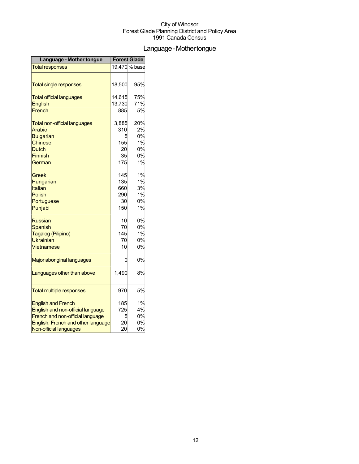## Language-Mothertongue

| Language - Mother tongue            | <b>Forest Glade</b> |               |
|-------------------------------------|---------------------|---------------|
| <b>Total responses</b>              |                     | 19,470 % base |
|                                     |                     |               |
| <b>Total single responses</b>       | 18,500              | 95%           |
| <b>Total official languages</b>     | 14,615              | 75%           |
| <b>English</b>                      | 13,730              | 71%           |
| French                              | 885                 | 5%            |
| <b>Total non-official languages</b> | 3,885               | 20%           |
| Arabic                              | 310                 | 2%            |
| <b>Bulgarian</b>                    | 5                   | 0%            |
| <b>Chinese</b>                      | 155                 | 1%            |
| Dutch                               | 20                  | 0%            |
| <b>Finnish</b>                      | 35                  | 0%            |
| German                              | 175                 | 1%            |
| Greek                               | 145                 | 1%            |
| Hungarian                           | 135                 | 1%            |
| Italian                             | 660                 | 3%            |
| Polish                              | 290                 | 1%            |
| Portuguese                          | 30                  | 0%            |
| Punjabi                             | 150                 | 1%            |
| <b>Russian</b>                      | 10                  | 0%            |
| <b>Spanish</b>                      | 70                  | 0%            |
| Tagalog (Pilipino)                  | 145                 | 1%            |
| <b>Ukrainian</b>                    | 70                  | 0%            |
| Vietnamese                          | 10                  | 0%            |
| <b>Major aboriginal languages</b>   | 0                   | 0%            |
| Languages other than above          | 1,490               | 8%            |
| <b>Total multiple responses</b>     | 970                 | 5%            |
| <b>English and French</b>           | 185                 | 1%            |
| English and non-official language   | 725                 | 4%            |
| French and non-official language    | 5                   | 0%            |
| English, French and other language  | 20                  | 0%            |
| Non-official languages              | 20                  | 0%            |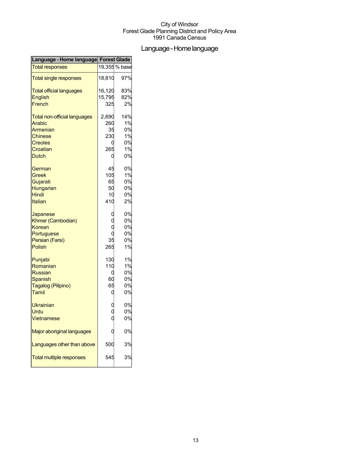## Language-Homelanguage

| Language - Home language Forest Glade |        |               |
|---------------------------------------|--------|---------------|
| <b>Total responses</b>                |        | 19,355 % base |
| <b>Total single responses</b>         | 18,810 | 97%           |
| <b>Total official languages</b>       | 16,120 | 83%           |
| English                               | 15,795 | 82%           |
| French                                | 325    | 2%            |
| <b>Total non-official languages</b>   | 2,690  | 14%           |
| Arabic                                | 260    | 1%            |
| Armenian                              | 35     | 0%            |
| <b>Chinese</b>                        | 230    | 1%            |
| <b>Creoles</b>                        |        | 0%            |
| Croatian                              | 265    | 1%            |
| Dutch                                 | C      | 0%            |
| German                                | 45     | 0%            |
| Greek                                 | 105    | 1%            |
| Gujarati                              | 65     | 0%            |
| Hungarian                             | 50     | 0%            |
| Hindi                                 | 10     | 0%            |
| Italian                               | 410    | 2%            |
| Japanese                              |        | 0%            |
| Khmer (Cambodian)                     |        | 0%            |
| Korean                                |        | 0%            |
| Portuguese                            |        | 0%            |
| Persian (Farsi)                       | 35     | 0%            |
| Polish                                | 265    | 1%            |
| Punjabi                               | 130    | 1%            |
| Romanian                              | 110    | 1%            |
| <b>Russian</b>                        | C      | 0%            |
| Spanish                               | 60     | 0%            |
| Tagalog (Pilipino)                    | 65     | 0%            |
| Tamil                                 | C      | 0%            |
| <b>Ukrainian</b>                      |        | 0%            |
| Urdu                                  |        | 0%            |
| Vietnamese                            |        | 0%            |
| Major aboriginal languages            |        | 0%            |
| Languages other than above            | 500    | 3%            |
| <b>Total multiple responses</b>       | 545    | 3%            |
|                                       |        |               |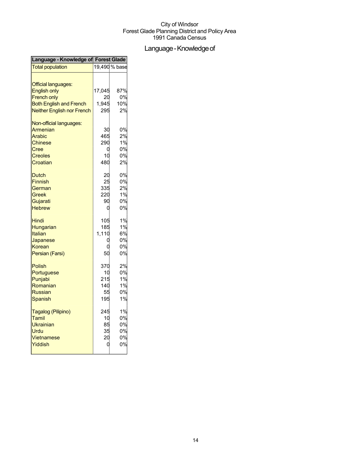## Language - Knowledge of

| Language - Knowledge of Forest Glade |        |               |
|--------------------------------------|--------|---------------|
| <b>Total population</b>              |        | 19,490 % base |
|                                      |        |               |
| <b>Official languages:</b>           |        |               |
| <b>English only</b>                  | 17,045 | 87%           |
| <b>French only</b>                   | 20     | 0%            |
| <b>Both English and French</b>       | 1,945  | 10%           |
| <b>Neither English nor French</b>    | 295    | 2%            |
| Non-official languages:              |        |               |
| Armenian                             | 30     | 0%            |
| Arabic                               | 465    | 2%            |
| <b>Chinese</b>                       | 290    | 1%            |
| Cree                                 | 0      | 0%            |
| <b>Creoles</b>                       | 10     | 0%            |
| Croatian                             | 480    | 2%            |
|                                      |        |               |
| Dutch                                | 20     | 0%            |
| <b>Finnish</b>                       | 25     | 0%            |
| German                               | 335    | 2%            |
| Greek                                | 220    | 1%            |
| Gujarati                             | 90     | 0%            |
| <b>Hebrew</b>                        | 0      | 0%            |
| Hindi                                | 105    | 1%            |
| Hungarian                            | 185    | 1%            |
| <b>Italian</b>                       | 1,110  | 6%            |
| Japanese                             |        | 0%            |
| Korean                               | C      | 0%            |
| Persian (Farsi)                      | 50     | 0%            |
| <b>Polish</b>                        | 370    | 2%            |
| Portuguese                           | 10     | 0%            |
| Punjabi                              | 215    | 1%            |
| Romanian                             | 140    | 1%            |
| <b>Russian</b>                       | 55     | 0%            |
| Spanish                              | 195    | 1%            |
|                                      |        |               |
| Tagalog (Pilipino)                   | 245    | 1%            |
| Tamil                                | 10     | 0%            |
| <b>Ukrainian</b>                     | 85     | 0%            |
| Urdu                                 | 35     | 0%            |
| <b>Vietnamese</b>                    | 20     | 0%            |
| Yiddish                              | C      | 0%            |
|                                      |        |               |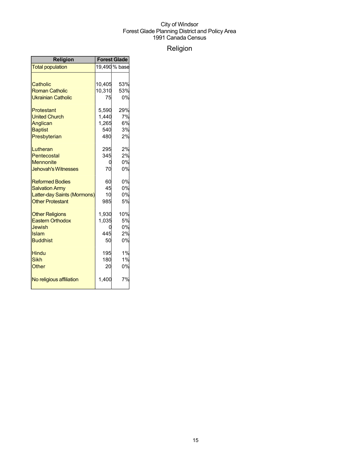## Religion

| <b>Religion</b>             | <b>Forest Glade</b> |               |
|-----------------------------|---------------------|---------------|
| <b>Total population</b>     |                     | 19,490 % base |
|                             |                     |               |
| Catholic                    | 10,405              | 53%           |
| <b>Roman Catholic</b>       | 10,310              | 53%           |
| <b>Ukrainian Catholic</b>   | 75                  | 0%            |
| Protestant                  | 5,590               | 29%           |
| <b>United Church</b>        | 1,440               | 7%            |
| Anglican                    | 1,265               | 6%            |
| <b>Baptist</b>              | 540                 | 3%            |
| Presbyterian                | 480                 | 2%            |
| Lutheran                    | 295                 | 2%            |
| Pentecostal                 | 345                 | 2%            |
| <b>Mennonite</b>            | 0                   | 0%            |
| <b>Jehovah's Witnesses</b>  | 70                  | 0%            |
| <b>Reformed Bodies</b>      | 60                  | 0%            |
| <b>Salvation Army</b>       | 45                  | 0%            |
| Latter-day Saints (Mormons) | 10                  | 0%            |
| <b>Other Protestant</b>     | 985                 | 5%            |
| <b>Other Religions</b>      | 1,930               | 10%           |
| <b>Eastern Orthodox</b>     | 1,035               | 5%            |
| <b>Jewish</b>               |                     | 0%            |
| Islam                       | 445                 | 2%            |
| <b>Buddhist</b>             | 50                  | 0%            |
| <b>Hindu</b>                | 195                 | 1%            |
| <b>Sikh</b>                 | 180                 | 1%            |
| Other                       | 20                  | 0%            |
| No religious affiliation    | 1,400               | 7%            |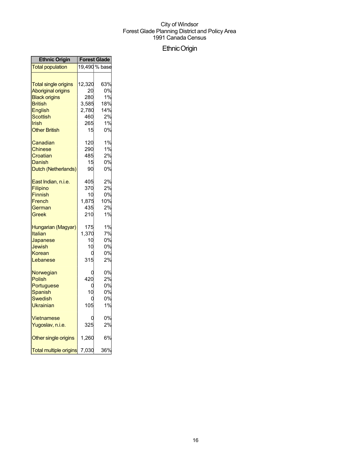## EthnicOrigin

| <b>Ethnic Origin</b>                                                                                                                                              | <b>Forest Glade</b>                                       |                                                 |
|-------------------------------------------------------------------------------------------------------------------------------------------------------------------|-----------------------------------------------------------|-------------------------------------------------|
| <b>Total population</b>                                                                                                                                           |                                                           | 19.490 % base                                   |
| <b>Total single origins</b><br><b>Aboriginal origins</b><br><b>Black origins</b><br><b>British</b><br>English<br><b>Scottish</b><br>Irish<br><b>Other British</b> | 12,320<br>20<br>280<br>3,585<br>2,780<br>460<br>265<br>15 | 63%<br>0%<br>1%<br>18%<br>14%<br>2%<br>1%<br>0% |
| Canadian<br><b>Chinese</b><br>Croatian<br>Danish<br>Dutch (Netherlands)                                                                                           | 120<br>290<br>485<br>15<br>90                             | 1%<br>1%<br>2%<br>0%<br>0%                      |
| East Indian, n.i.e.<br>Filipino<br><b>Finnish</b><br>French<br>German<br>Greek                                                                                    | 405<br>370<br>10<br>1,875<br>435<br>210                   | 2%<br>2%<br>0%<br>10%<br>2%<br>1%               |
| Hungarian (Magyar)<br>Italian<br>Japanese<br>Jewish<br>Korean<br>Lebanese                                                                                         | 175<br>1,370<br>10<br>10<br>315                           | 1%<br>7%<br>0%<br>0%<br>0%<br>2%                |
| Norwegian<br><b>Polish</b><br>Portuguese<br>Spanish<br><b>Swedish</b><br>Ukrainian                                                                                | 420<br>10<br>105                                          | 0%<br>2%<br>0%<br>0%<br>0%<br>1%                |
| <b>Vietnamese</b><br>Yugoslav, n.i.e.                                                                                                                             | ſ<br>325                                                  | 0%<br>2%                                        |
| Other single origins                                                                                                                                              | 1,260                                                     | 6%                                              |
| <b>Total multiple origins</b>                                                                                                                                     | 7,030                                                     | 36%                                             |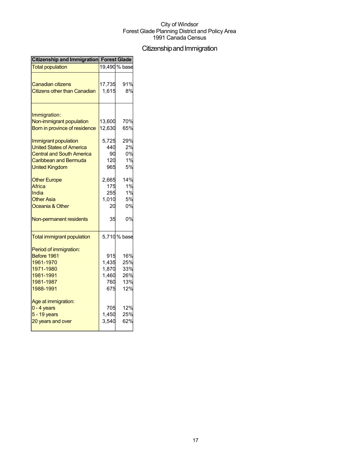## Citizenship and Immigration

| Citizenship and Immigration Forest Glade |        |               |
|------------------------------------------|--------|---------------|
| <b>Total population</b>                  |        | 19,490 % base |
|                                          |        |               |
| <b>Canadian citizens</b>                 | 17,735 | 91%           |
| <b>Citizens other than Canadian</b>      | 1,615  | 8%            |
| Immigration:                             |        |               |
| Non-immigrant population                 | 13,600 | 70%           |
| Born in province of residence            | 12,630 | 65%           |
|                                          |        |               |
| Immigrant population                     | 5,725  | 29%           |
| <b>United States of America</b>          | 440    | 2%            |
| <b>Central and South America</b>         | 90     | 0%            |
| Caribbean and Bermuda                    | 120    | 1%            |
| <b>United Kingdom</b>                    | 965    | 5%            |
| <b>Other Europe</b>                      | 2,665  | 14%           |
| Africa                                   | 175    | 1%            |
| India                                    | 255    | 1%            |
| <b>Other Asia</b>                        | 1,010  | 5%            |
| Oceania & Other                          | 20     | 0%            |
| Non-permanent residents                  | 35     | 0%            |
| <b>Total immigrant population</b>        |        | 5,710% base   |
| Period of immigration:                   |        |               |
| Before 1961                              | 915    | 16%           |
| 1961-1970                                | 1,435  | 25%           |
| 1971-1980                                | 1,870  | 33%           |
| 1981-1991                                | 1,460  | 26%           |
| 1981-1987                                | 760    | 13%           |
| 1988-1991                                | 675    | 12%           |
| Age at immigration:                      |        |               |
| $0 - 4$ years                            | 705    | 12%           |
| 5 - 19 years                             | 1,450  | 25%           |
| 20 years and over                        | 3,540  | 62%           |
|                                          |        |               |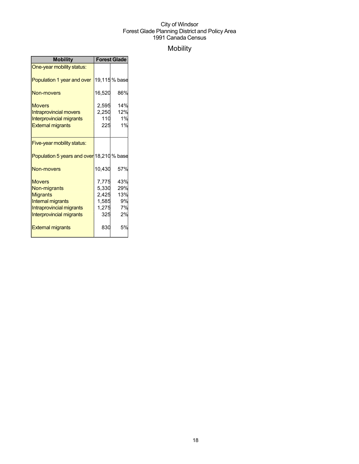## Mobility

| <b>Mobility</b>                           | <b>Forest Glade</b> |              |
|-------------------------------------------|---------------------|--------------|
| One-year mobility status:                 |                     |              |
| Population 1 year and over                |                     | 19,115% base |
| <b>Non-movers</b>                         | 16,520              | 86%          |
| <b>Movers</b>                             | 2,595               | 14%          |
| <b>Intraprovincial movers</b>             | 2,250               | 12%          |
| <b>Interprovincial migrants</b>           | 110                 | 1%           |
| <b>External migrants</b>                  | 225                 | 1%           |
|                                           |                     |              |
| Five-year mobility status:                |                     |              |
| Population 5 years and over 18,210 % base |                     |              |
| Non-movers                                | 10,430              | 57%          |
| <b>Movers</b>                             | 7,775               | 43%          |
| Non-migrants                              | 5,330               | 29%          |
| <b>Migrants</b>                           | 2,425               | 13%          |
| Internal migrants                         | 1,585               | 9%           |
| Intraprovincial migrants                  | 1,275               | 7%           |
| Interprovincial migrants                  | 325                 | 2%           |
| <b>External migrants</b>                  | 830                 | 5%           |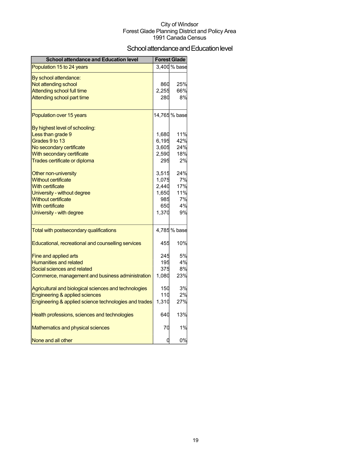### School attendance and Education level

| <b>School attendance and Education level</b>          |       | <b>Forest Glade</b> |
|-------------------------------------------------------|-------|---------------------|
| Population 15 to 24 years                             |       | 3,400 % base        |
| By school attendance:                                 |       |                     |
| Not attending school                                  | 860   | 25%                 |
| <b>Attending school full time</b>                     | 2,255 | 66%                 |
| Attending school part time                            | 280   | 8%                  |
| Population over 15 years                              |       | 14,765 % base       |
| By highest level of schooling:                        |       |                     |
| Less than grade 9                                     | 1,680 | 11%                 |
| Grades 9 to 13                                        | 6,195 | 42%                 |
| No secondary certificate                              | 3,605 | 24%                 |
| With secondary certificate                            | 2,590 | 18%                 |
| Trades certificate or diploma                         | 295   | 2%                  |
| Other non-university                                  | 3,515 | 24%                 |
| <b>Without certificate</b>                            | 1,075 | 7%                  |
| <b>With certificate</b>                               | 2,440 | 17%                 |
| University - without degree                           | 1,650 | 11%                 |
| <b>Without certificate</b>                            | 985   | 7%                  |
| <b>With certificate</b>                               | 650   | 4%                  |
| University - with degree                              | 1,370 | 9%                  |
| Total with postsecondary qualifications               |       | 4,785 % base        |
| Educational, recreational and counselling services    | 455   | 10%                 |
| Fine and applied arts                                 | 245   | 5%                  |
| <b>Humanities and related</b>                         | 195   | 4%                  |
| Social sciences and related                           | 375   | 8%                  |
| Commerce, management and business administration      | 1,080 | 23%                 |
| Agricultural and biological sciences and technologies | 150   | 3%                  |
| Engineering & applied sciences                        | 110   | 2%                  |
| Engineering & applied science technologies and trades | 1,310 | 27%                 |
| Health professions, sciences and technologies         | 640   | 13%                 |
| Mathematics and physical sciences                     | 70    | 1%                  |
| None and all other                                    | 0     | 0%                  |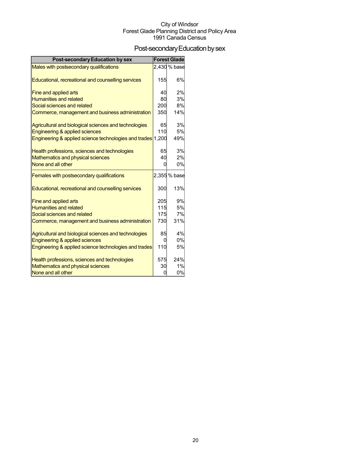## Post-secondary Education by sex

| <b>Post-secondary Education by sex</b>                      |     | <b>Forest Glade</b> |
|-------------------------------------------------------------|-----|---------------------|
| Males with postsecondary qualifications                     |     | 2.430 % base        |
|                                                             |     |                     |
| Educational, recreational and counselling services          | 155 | 6%                  |
| Fine and applied arts                                       | 40  | 2%                  |
| <b>Humanities and related</b>                               | 80  | 3%                  |
| Social sciences and related                                 | 200 | 8%                  |
| Commerce, management and business administration            | 350 | 14%                 |
| Agricultural and biological sciences and technologies       | 65  | 3%                  |
| Engineering & applied sciences                              | 110 | 5%                  |
| Engineering & applied science technologies and trades 1,200 |     | 49%                 |
| Health professions, sciences and technologies               | 65  | 3%                  |
| Mathematics and physical sciences                           | 40  | 2%                  |
| None and all other                                          | ŋ   | 0%                  |
| Females with postsecondary qualifications                   |     | 2,355 % base        |
| Educational, recreational and counselling services          | 300 | 13%                 |
| Fine and applied arts                                       | 205 | 9%                  |
| <b>Humanities and related</b>                               | 115 | 5%                  |
| Social sciences and related                                 | 175 | 7%                  |
| Commerce, management and business administration            | 730 | 31%                 |
| Agricultural and biological sciences and technologies       | 85  | 4%                  |
| Engineering & applied sciences                              | 0   | 0%                  |
| Engineering & applied science technologies and trades       | 110 | 5%                  |
| Health professions, sciences and technologies               | 575 | 24%                 |
| Mathematics and physical sciences                           | 30  | 1%                  |
| None and all other                                          | ŋ   | 0%                  |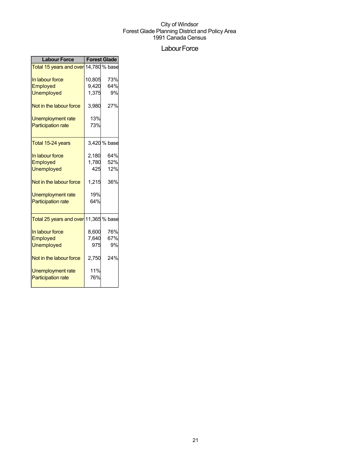## Labour Force

| <b>Labour Force</b>                                | <b>Forest Glade</b> |              |  |
|----------------------------------------------------|---------------------|--------------|--|
| Total 15 years and over 14,780 % base              |                     |              |  |
| In labour force                                    | 10,805              | 73%          |  |
| Employed                                           | 9,420               | 64%          |  |
| <b>Unemployed</b>                                  | 1,375               | 9%           |  |
| Not in the labour force                            | 3,980               | 27%          |  |
| Unemployment rate                                  | 13%                 |              |  |
| <b>Participation rate</b>                          | 73%                 |              |  |
| Total 15-24 years                                  |                     | 3,420 % base |  |
| In labour force                                    | 2,180               | 64%          |  |
| Employed                                           | 1,780               | 52%          |  |
| <b>Unemployed</b>                                  | 425                 | 12%          |  |
| Not in the labour force                            | 1,215               | 36%          |  |
| Unemployment rate                                  | 19%                 |              |  |
| <b>Participation rate</b>                          | 64%                 |              |  |
| <mark>Total 25 years and over</mark> 11,365 % base |                     |              |  |
| In labour force                                    | 8,600               | 76%          |  |
| Employed                                           | 7,640               | 67%          |  |
| <b>Unemployed</b>                                  | 975                 | 9%           |  |
| Not in the labour force                            | 2,750               | 24%          |  |
| Unemployment rate                                  | 11%                 |              |  |
| <b>Participation rate</b>                          | 76%                 |              |  |
|                                                    |                     |              |  |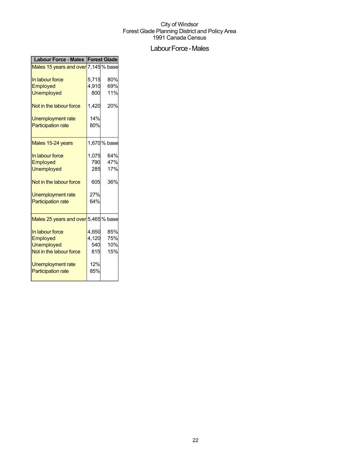## Labour Force - Males

| Labour Force - Males   Forest Glade  |       |              |
|--------------------------------------|-------|--------------|
| Males 15 years and over 7,145 % base |       |              |
| In labour force                      | 5,715 | 80%          |
| Employed                             | 4,910 | 69%          |
| <b>Unemployed</b>                    | 800   | 11%          |
| Not in the labour force              | 1,420 | 20%          |
| Unemployment rate                    | 14%   |              |
| <b>Participation rate</b>            | 80%   |              |
| Males 15-24 years                    |       | 1,670 % base |
| In labour force                      | 1,075 | 64%          |
| Employed                             | 790   | 47%          |
| <b>Unemployed</b>                    | 285   | 17%          |
| Not in the labour force              | 605   | 36%          |
| <b>Unemployment rate</b>             | 27%   |              |
| <b>Participation rate</b>            | 64%   |              |
| Males 25 years and over 5,465 % base |       |              |
| In labour force                      | 4,650 | 85%          |
| Employed                             | 4,120 | 75%          |
| <b>Unemployed</b>                    | 540   | 10%          |
| Not in the labour force              | 815   | 15%          |
| Unemployment rate                    | 12%   |              |
| <b>Participation rate</b>            | 85%   |              |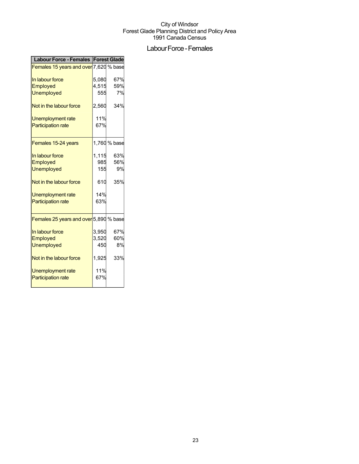## Labour Force - Females

| Labour Force - Females   Forest Glade  |       |              |
|----------------------------------------|-------|--------------|
| Females 15 years and over 7,620 % base |       |              |
| In labour force                        | 5,080 | 67%          |
| Employed                               | 4,515 | 59%          |
| <b>Unemployed</b>                      | 555   | 7%           |
| Not in the labour force                | 2,560 | 34%          |
| Unemployment rate                      | 11%   |              |
| <b>Participation rate</b>              | 67%   |              |
|                                        |       |              |
| Females 15-24 years                    |       | 1,760 % base |
| In labour force                        | 1,115 | 63%          |
| Employed                               | 985   | 56%          |
| <b>Unemployed</b>                      | 155   | 9%           |
| Not in the labour force                | 610   | 35%          |
| <b>Unemployment rate</b>               | 14%   |              |
| <b>Participation rate</b>              | 63%   |              |
|                                        |       |              |
| Females 25 years and over 5,890 % base |       |              |
| In labour force                        | 3,950 | 67%          |
| Employed                               | 3,520 | 60%          |
| <b>Unemployed</b>                      | 450   | 8%           |
| Not in the labour force                | 1,925 | 33%          |
| Unemployment rate                      | 11%   |              |
| <b>Participation rate</b>              | 67%   |              |
|                                        |       |              |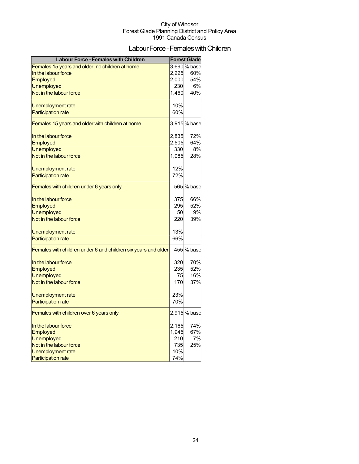## Labour Force - Females with Children

| <b>Labour Force - Females with Children</b>                    |       | <b>Forest Glade</b> |
|----------------------------------------------------------------|-------|---------------------|
| Females, 15 years and older, no children at home               |       | 3,690 % base        |
| In the labour force                                            | 2,225 | 60%                 |
| <b>Employed</b>                                                | 2,000 | 54%                 |
| <b>Unemployed</b>                                              | 230   | 6%                  |
| Not in the labour force                                        | 1,460 | 40%                 |
| Unemployment rate                                              | 10%   |                     |
| <b>Participation rate</b>                                      | 60%   |                     |
| Females 15 years and older with children at home               |       | 3,915 % base        |
| In the labour force                                            | 2,835 | 72%                 |
| Employed                                                       | 2,505 | 64%                 |
| <b>Unemployed</b>                                              | 330   | 8%                  |
| Not in the labour force                                        | 1,085 | 28%                 |
| Unemployment rate                                              | 12%   |                     |
| <b>Participation rate</b>                                      | 72%   |                     |
| Females with children under 6 years only                       |       | 565 % base          |
| In the labour force                                            | 375   | 66%                 |
| Employed                                                       | 295   | 52%                 |
| <b>Unemployed</b>                                              | 50    | 9%                  |
| Not in the labour force                                        | 220   | 39%                 |
| Unemployment rate                                              | 13%   |                     |
| <b>Participation rate</b>                                      | 66%   |                     |
| Females with children under 6 and children six years and older |       | 455 % base          |
| In the labour force                                            | 320   | 70%                 |
| Employed                                                       | 235   | 52%                 |
| <b>Unemployed</b>                                              | 75    | 16%                 |
| Not in the labour force                                        | 170   | 37%                 |
| Unemployment rate                                              | 23%   |                     |
| <b>Participation rate</b>                                      | 70%   |                     |
| Females with children over 6 years only                        |       | 2,915 % base        |
| In the labour force                                            | 2,165 | 74%                 |
| Employed                                                       | 1,945 | 67%                 |
| <b>Unemployed</b>                                              | 210   | 7%                  |
| Not in the labour force                                        | 735   | 25%                 |
| Unemployment rate                                              | 10%   |                     |
| <b>Participation rate</b>                                      | 74%   |                     |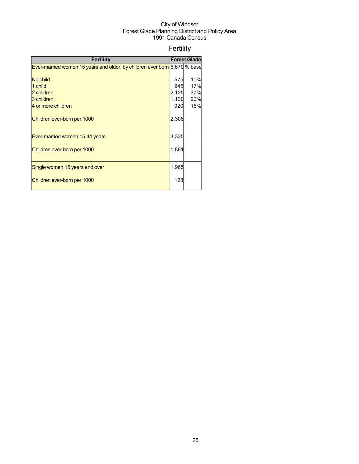## Fertility

| <b>Fertility</b>                                                          |       | <b>Forest Glade</b> |
|---------------------------------------------------------------------------|-------|---------------------|
| Ever-married women 15 years and older, by children ever born 5,670 % base |       |                     |
|                                                                           |       |                     |
| No child                                                                  | 575   | 10%                 |
| 1 child                                                                   | 945   | 17%                 |
| 2 children                                                                | 2,125 | 37%                 |
| 3 children                                                                | 1,130 | 20%                 |
| 4 or more children                                                        | 920   | 16%                 |
| Children ever-born per 1000                                               | 2,306 |                     |
| Ever-married women 15-44 years                                            | 3,335 |                     |
| Children ever-born per 1000                                               | 1,881 |                     |
| Single women 15 years and over                                            | 1,965 |                     |
| Children ever-born per 1000                                               | 128   |                     |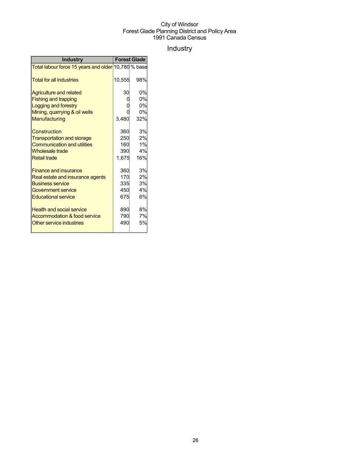## Industry

| <b>Industry</b>                                                  | <b>Forest Glade</b> |     |
|------------------------------------------------------------------|---------------------|-----|
| <mark>Total labour force 15 years and older</mark> 10,780 % base |                     |     |
| <b>Total for all industries</b>                                  | 10,555              | 98% |
| <b>Agriculture and related</b>                                   | 30                  | 0%  |
| <b>Fishing and trapping</b>                                      |                     | 0%  |
| Logging and forestry                                             |                     | 0%  |
| Mining, quarrying & oil wells                                    |                     | 0%  |
| Manufacturing                                                    | 3,480               | 32% |
| Construction                                                     | 360                 | 3%  |
| <b>Transportation and storage</b>                                | 250                 | 2%  |
| <b>Communication and utilities</b>                               | 160                 | 1%  |
| <b>Wholesale trade</b>                                           | 390                 | 4%  |
| <b>Retail trade</b>                                              | 1,675               | 16% |
| <b>Finance and insurance</b>                                     | 360                 | 3%  |
| Real estate and insurance agents                                 | 170                 | 2%  |
| <b>Business service</b>                                          | 335                 | 3%  |
| <b>Government service</b>                                        | 450                 | 4%  |
| <b>Educational service</b>                                       | 675                 | 6%  |
| <b>Health and social service</b>                                 | 890                 | 8%  |
| Accommodation & food service                                     | 790                 | 7%  |
| Other service industries                                         | 490                 | 5%  |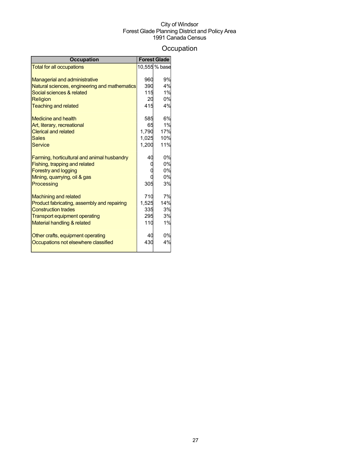## **Occupation**

| 10,555% base<br><b>Total for all occupations</b><br>9%<br><b>Managerial and administrative</b><br>960<br>4%<br>390<br>Natural sciences, engineering and mathematics<br>1%<br>Social sciences & related<br>115<br>0%<br><b>Religion</b><br>20<br>415<br><b>Teaching and related</b><br>4%<br>6%<br><b>Medicine and health</b><br>585<br>1%<br>Art, literary, recreational<br>65<br>1,790<br>17%<br><b>Clerical and related</b><br>10%<br>1,025<br>Sales |
|--------------------------------------------------------------------------------------------------------------------------------------------------------------------------------------------------------------------------------------------------------------------------------------------------------------------------------------------------------------------------------------------------------------------------------------------------------|
|                                                                                                                                                                                                                                                                                                                                                                                                                                                        |
|                                                                                                                                                                                                                                                                                                                                                                                                                                                        |
|                                                                                                                                                                                                                                                                                                                                                                                                                                                        |
|                                                                                                                                                                                                                                                                                                                                                                                                                                                        |
|                                                                                                                                                                                                                                                                                                                                                                                                                                                        |
|                                                                                                                                                                                                                                                                                                                                                                                                                                                        |
|                                                                                                                                                                                                                                                                                                                                                                                                                                                        |
|                                                                                                                                                                                                                                                                                                                                                                                                                                                        |
|                                                                                                                                                                                                                                                                                                                                                                                                                                                        |
|                                                                                                                                                                                                                                                                                                                                                                                                                                                        |
|                                                                                                                                                                                                                                                                                                                                                                                                                                                        |
| 1.200<br>11%<br>Service                                                                                                                                                                                                                                                                                                                                                                                                                                |
| 0%<br>40<br>Farming, horticultural and animal husbandry                                                                                                                                                                                                                                                                                                                                                                                                |
| Fishing, trapping and related<br>0%                                                                                                                                                                                                                                                                                                                                                                                                                    |
| 0%<br><b>Forestry and logging</b>                                                                                                                                                                                                                                                                                                                                                                                                                      |
| 0%<br>Mining, quarrying, oil & gas                                                                                                                                                                                                                                                                                                                                                                                                                     |
| Processing<br>305<br>3%                                                                                                                                                                                                                                                                                                                                                                                                                                |
| 7%<br>710<br><b>Machining and related</b>                                                                                                                                                                                                                                                                                                                                                                                                              |
| 14%<br>1,525<br>Product fabricating, assembly and repairing                                                                                                                                                                                                                                                                                                                                                                                            |
| <b>Construction trades</b><br>335<br>3%                                                                                                                                                                                                                                                                                                                                                                                                                |
| 3%<br>295<br><b>Transport equipment operating</b>                                                                                                                                                                                                                                                                                                                                                                                                      |
| 1%<br>Material handling & related<br>110                                                                                                                                                                                                                                                                                                                                                                                                               |
| 0%<br>Other crafts, equipment operating<br>40                                                                                                                                                                                                                                                                                                                                                                                                          |
| 4%<br>430<br>Occupations not elsewhere classified                                                                                                                                                                                                                                                                                                                                                                                                      |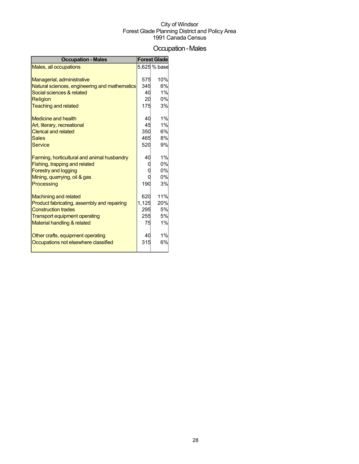## Occupation-Males

| <b>Occupation - Males</b>                     |       | <b>Forest Glade</b> |
|-----------------------------------------------|-------|---------------------|
| Males, all occupations                        |       | 5,625 % base        |
|                                               |       |                     |
| Managerial, administrative                    | 575   | 10%                 |
| Natural sciences, engineering and mathematics | 345   | 6%                  |
| Social sciences & related                     | 40    | 1%                  |
| Religion                                      | 20    | 0%                  |
| <b>Teaching and related</b>                   | 175   | 3%                  |
| <b>Medicine and health</b>                    | 40    | 1%                  |
| Art, literary, recreational                   | 45    | 1%                  |
| <b>Clerical and related</b>                   | 350   | 6%                  |
| <b>Sales</b>                                  | 465   | 8%                  |
| <b>Service</b>                                | 520   | 9%                  |
| Farming, horticultural and animal husbandry   | 40    | 1%                  |
| Fishing, trapping and related                 |       | 0%                  |
| <b>Forestry and logging</b>                   |       | 0%                  |
| Mining, quarrying, oil & gas                  |       | 0%                  |
| Processing                                    | 190   | 3%                  |
| <b>Machining and related</b>                  | 620   | 11%                 |
| Product fabricating, assembly and repairing   | 1,125 | 20%                 |
| <b>Construction trades</b>                    | 295   | 5%                  |
| <b>Transport equipment operating</b>          | 255   | 5%                  |
| Material handling & related                   | 75    | 1%                  |
| Other crafts, equipment operating             | 40    | 1%                  |
| Occupations not elsewhere classified          | 315   | 6%                  |
|                                               |       |                     |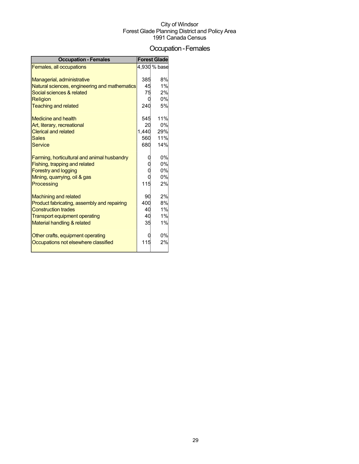## Occupation-Females

| <b>Occupation - Females</b>                   |       | <b>Forest Glade</b> |
|-----------------------------------------------|-------|---------------------|
| Females, all occupations                      |       | 4,930 % base        |
|                                               |       |                     |
| Managerial, administrative                    | 385   | 8%                  |
| Natural sciences, engineering and mathematics | 45    | 1%                  |
| Social sciences & related                     | 75    | 2%                  |
| <b>Religion</b>                               |       | 0%                  |
| <b>Teaching and related</b>                   | 240   | 5%                  |
| <b>Medicine and health</b>                    | 545   | 11%                 |
| Art, literary, recreational                   | 20    | 0%                  |
| <b>Clerical and related</b>                   | 1,440 | 29%                 |
| <b>Sales</b>                                  | 560   | 11%                 |
| <b>Service</b>                                | 680   | 14%                 |
| Farming, horticultural and animal husbandry   |       | 0%                  |
| Fishing, trapping and related                 |       | 0%                  |
| <b>Forestry and logging</b>                   |       | 0%                  |
| Mining, quarrying, oil & gas                  |       | 0%                  |
| Processing                                    | 115   | 2%                  |
|                                               |       |                     |
| <b>Machining and related</b>                  | 90    | 2%                  |
| Product fabricating, assembly and repairing   | 400   | 8%                  |
| <b>Construction trades</b>                    | 40    | 1%                  |
| <b>Transport equipment operating</b>          | 40    | 1%                  |
| Material handling & related                   | 35    | 1%                  |
| Other crafts, equipment operating             |       | 0%                  |
| Occupations not elsewhere classified          | 115   | 2%                  |
|                                               |       |                     |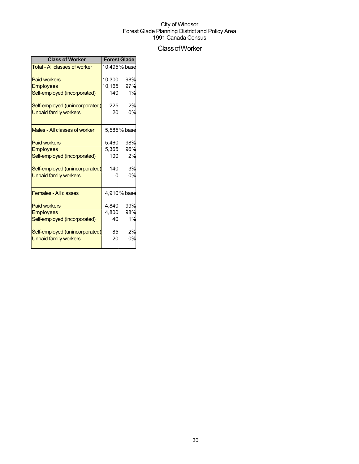## ClassofWorker

| <b>Class of Worker</b>               | <b>Forest Glade</b> |               |  |
|--------------------------------------|---------------------|---------------|--|
| <b>Total - All classes of worker</b> |                     | 10,495 % base |  |
| <b>Paid workers</b>                  | 10,300              | 98%           |  |
| <b>Employees</b>                     | 10,165              | 97%           |  |
| Self-employed (incorporated)         | 140                 | 1%            |  |
| Self-employed (unincorporated)       | 225                 | 2%            |  |
| <b>Unpaid family workers</b>         | 20                  | 0%            |  |
| Males - All classes of worker        |                     | 5,585 % base  |  |
| <b>Paid workers</b>                  | 5,460               | 98%           |  |
| <b>Employees</b>                     | 5,365               | 96%           |  |
| Self-employed (incorporated)         | 100                 | 2%            |  |
| Self-employed (unincorporated)       | 140                 | 3%            |  |
| <b>Unpaid family workers</b>         |                     | 0%            |  |
| <b>Females - All classes</b>         |                     | 4,910% base   |  |
| <b>Paid workers</b>                  | 4.840               | 99%           |  |
| <b>Employees</b>                     | 4,800               | 98%           |  |
| Self-employed (incorporated)         | 40                  | 1%            |  |
| Self-employed (unincorporated)       | 85                  | 2%            |  |
| <b>Unpaid family workers</b>         | 20                  | 0%            |  |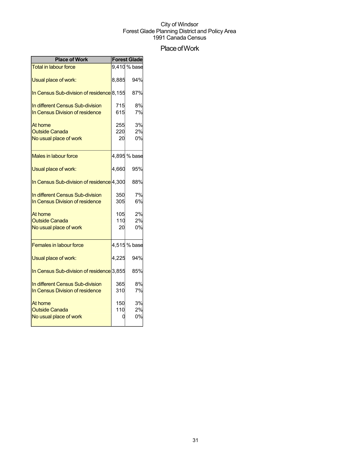## Place of Work

| <b>Place of Work</b>                                                |            | <b>Forest Glade</b> |
|---------------------------------------------------------------------|------------|---------------------|
| <b>Total in labour force</b>                                        |            | 9,410 % base        |
| Usual place of work:                                                | 8,885      | 94%                 |
| In Census Sub-division of residence <sup>8</sup> ,155               |            | 87%                 |
| In different Census Sub-division<br>In Census Division of residence | 715<br>615 | 8%<br>7%            |
|                                                                     |            |                     |
| At home                                                             | 255        | 3%                  |
| <b>Outside Canada</b>                                               | 220        | 2%                  |
| No usual place of work                                              | 20         | 0%                  |
| Males in labour force                                               |            | 4,895 % base        |
| Usual place of work:                                                | 4,660      | 95%                 |
| In Census Sub-division of residence 4,300                           |            | 88%                 |
| In different Census Sub-division                                    | 350        | 7%                  |
| In Census Division of residence                                     | 305        | 6%                  |
| At home                                                             | 105        | 2%                  |
| <b>Outside Canada</b>                                               | 110        | 2%                  |
| No usual place of work                                              | 20         | 0%                  |
| <b>Females in labour force</b>                                      |            | 4,515 % base        |
| Usual place of work:                                                | 4,225      | 94%                 |
| In Census Sub-division of residence 3,855                           |            | 85%                 |
| In different Census Sub-division                                    | 365        | 8%                  |
| In Census Division of residence                                     | 310        | 7%                  |
| At home                                                             | 150        | 3%                  |
| <b>Outside Canada</b>                                               | 110        | 2%                  |
| No usual place of work                                              |            | 0%                  |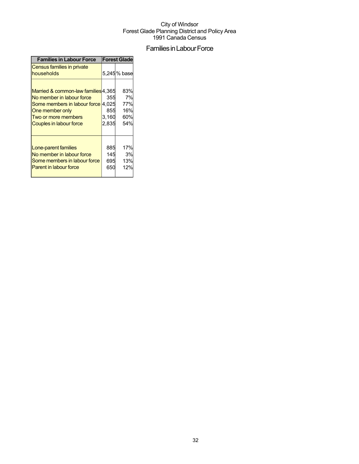## Families in Labour Force

| <b>Families in Labour Force</b>                                                                                                                                                    | <b>Forest Glade</b>          |                                       |  |
|------------------------------------------------------------------------------------------------------------------------------------------------------------------------------------|------------------------------|---------------------------------------|--|
| Census families in private<br>households                                                                                                                                           |                              | 5,245% base                           |  |
| Married & common-law families 4,365<br>No member in labour force<br>Some members in labour force 4,025<br>One member only<br>Two or more members<br><b>Couples in labour force</b> | 355<br>855<br>3,160<br>2,835 | 83%<br>7%<br>77%<br>16%<br>60%<br>54% |  |
| Lone-parent families<br>No member in labour force<br>Some members in labour force<br>Parent in labour force                                                                        | 885<br>145<br>695<br>650     | 17%<br>3%<br>13%<br>12%               |  |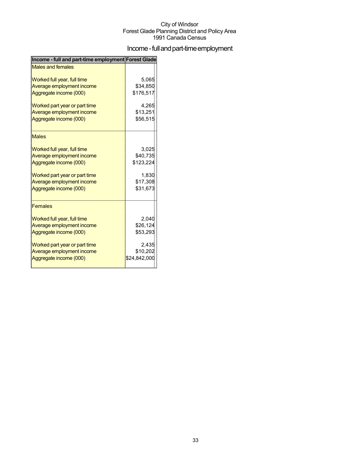## Income - full and part-time employment

| Income - full and part-time employment Forest Glade |              |
|-----------------------------------------------------|--------------|
| <b>Males and females</b>                            |              |
| Worked full year, full time                         | 5,065        |
| Average employment income                           | \$34,850     |
| Aggregate income (000)                              | \$176,517    |
| Worked part year or part time                       | 4,265        |
| Average employment income                           | \$13,251     |
| Aggregate income (000)                              | \$56,515     |
| <b>Males</b>                                        |              |
| Worked full year, full time                         | 3,025        |
| Average employment income                           | \$40,735     |
| Aggregate income (000)                              | \$123,224    |
| Worked part year or part time                       | 1,830        |
| Average employment income                           | \$17,308     |
| Aggregate income (000)                              | \$31,673     |
| <b>Females</b>                                      |              |
| Worked full year, full time                         | 2,040        |
| Average employment income                           | \$26,124     |
| Aggregate income (000)                              | \$53,293     |
| Worked part year or part time                       | 2,435        |
| Average employment income                           | \$10,202     |
| Aggregate income (000)                              | \$24,842,000 |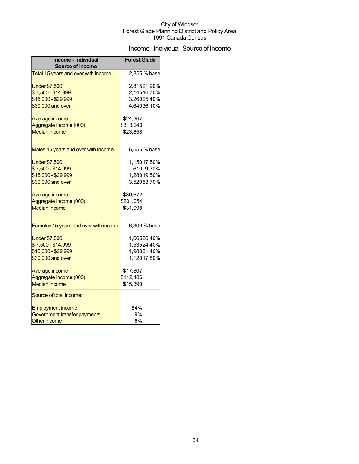## Income - Individual Source of Income

| Income - Individual<br><b>Source of Income</b> | <b>Forest Glade</b> |               |
|------------------------------------------------|---------------------|---------------|
| Total 15 years and over with income            |                     | 12,855 % base |
| <b>Under \$7,500</b>                           |                     | 2,81521.90%   |
| \$7,500 - \$14,999                             |                     | 2,14516.70%   |
| \$15,000 - \$29,999                            |                     | 3,26025.40%   |
| \$30,000 and over                              |                     | 4,64036.10%   |
| Average income                                 | \$24,367            |               |
| Aggregate income (000)                         | \$313,240           |               |
| <b>Median income</b>                           | \$23,858            |               |
| Males 15 years and over with income            |                     | 6,555 % base  |
| <b>Under \$7,500</b>                           |                     | 1,15017.50%   |
| \$7,500 - \$14,999                             |                     | 610 9.30%     |
| \$15,000 - \$29,999                            |                     | 1,28019.50%   |
| \$30,000 and over                              |                     | 3,52053.70%   |
| Average income                                 | \$30,672            |               |
| Aggregate income (000)                         | \$201,054           |               |
| <b>Median income</b>                           | \$31,998            |               |
| Females 15 years and over with income          |                     | 6,300 % base  |
|                                                |                     |               |
| <b>Under \$7,500</b>                           |                     | 1,66526.40%   |
| \$7,500 - \$14,999                             |                     | 1,53524.40%   |
| \$15,000 - \$29,999                            |                     | 1,98031.40%   |
| \$30,000 and over                              |                     | 1,12017.80%   |
| Average income                                 | \$17,807            |               |
| Aggregate income (000)                         | \$112,186           |               |
| <b>Median income</b>                           | \$15,390            |               |
| Source of total income:                        |                     |               |
| <b>Employment income</b>                       | 84%                 |               |
| Government transfer payments                   | 9%                  |               |
| Other income                                   | 6%                  |               |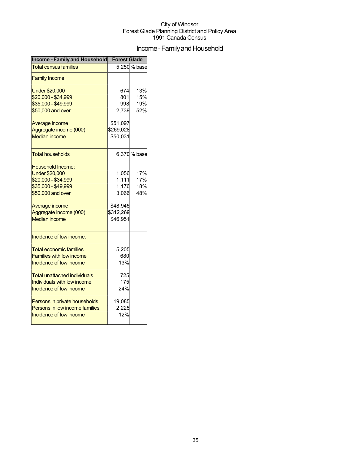## Income - Family and Household

| <b>Income - Family and Household</b> | <b>Forest Glade</b> |              |  |
|--------------------------------------|---------------------|--------------|--|
| <b>Total census families</b>         |                     | 5,250 % base |  |
| <b>Family Income:</b>                |                     |              |  |
| <b>Under \$20,000</b>                | 674                 | 13%          |  |
| \$20,000 - \$34,999                  | 801                 | 15%          |  |
| \$35,000 - \$49,999                  | 998                 | 19%          |  |
| \$50,000 and over                    | 2,739               | 52%          |  |
| Average income                       | \$51,097            |              |  |
| Aggregate income (000)               | \$269,028           |              |  |
| <b>Median income</b>                 | \$50,031            |              |  |
| <b>Total households</b>              |                     | 6,370 % base |  |
| Household Income:                    |                     |              |  |
| <b>Under \$20,000</b>                | 1,056               | 17%          |  |
| \$20,000 - \$34,999                  | 1,111               | 17%          |  |
| \$35,000 - \$49,999                  | 1,176               | 18%          |  |
| \$50,000 and over                    | 3,066               | 48%          |  |
| Average income                       | \$48,945            |              |  |
| Aggregate income (000)               | \$312,269           |              |  |
| <b>Median income</b>                 | \$46,951            |              |  |
| Incidence of low income:             |                     |              |  |
| <b>Total economic families</b>       | 5,205               |              |  |
| <b>Families with low income</b>      | 680                 |              |  |
| Incidence of low income              | 13%                 |              |  |
| <b>Total unattached individuals</b>  | 725                 |              |  |
| Individuals with low income          | 175                 |              |  |
| Incidence of low income              | 24%                 |              |  |
| Persons in private households        | 19,085              |              |  |
| Persons in low income families       | 2,225               |              |  |
| Incidence of low income              | 12%                 |              |  |